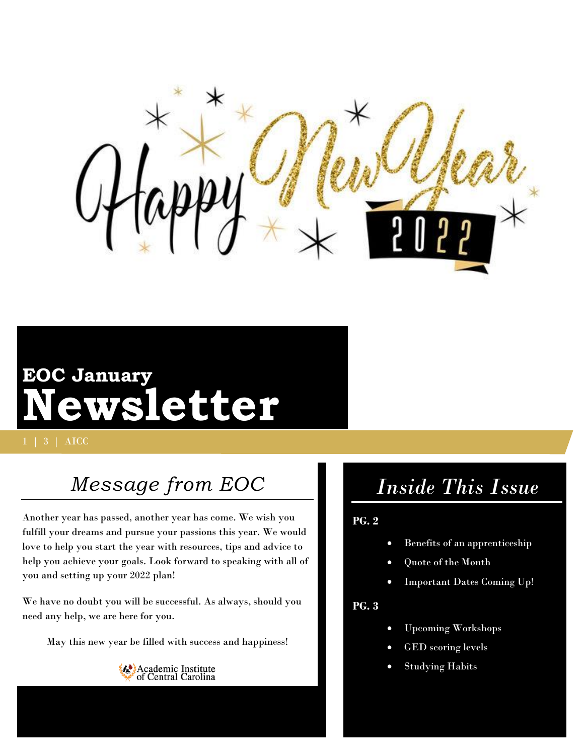

# **EOC January Newsletter**

1 | 3 | AICC

## *Message from EOC*

Another year has passed, another year has come. We wish you fulfill your dreams and pursue your passions this year. We would love to help you start the year with resources, tips and advice to help you achieve your goals. Look forward to speaking with all of you and setting up your 2022 plan!

We have no doubt you will be successful. As always, should you need any help, we are here for you.

May this new year be filled with success and happiness!



## *Inside This Issue*

### **PG. 2**

- Benefits of an apprenticeship
- Quote of the Month
- Important Dates Coming Up!

#### **PG. 3**

- Upcoming Workshops
- GED scoring levels
- Studying Habits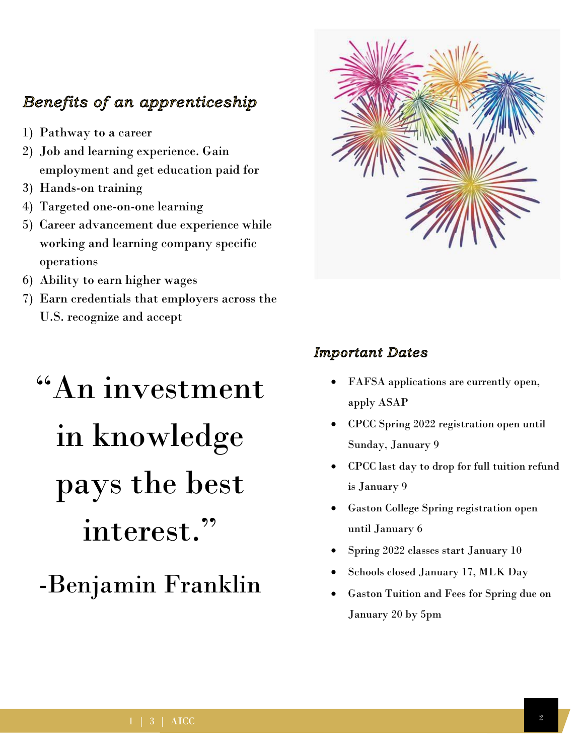### Benefits of an apprenticeship

- 1) Pathway to a career
- 2) Job and learning experience. Gain employment and get education paid for
- 3) Hands-on training
- 4) Targeted one-on-one learning
- 5) Career advancement due experience while working and learning company specific operations
- 6) Ability to earn higher wages
- 7) Earn credentials that employers across the U.S. recognize and accept

# "An investment in knowledge pays the best interest."

-Benjamin Franklin



### **Important Dates**

- FAFSA applications are currently open, apply ASAP
- CPCC Spring 2022 registration open until Sunday, January 9
- CPCC last day to drop for full tuition refund is January 9
- Gaston College Spring registration open until January 6
- Spring 2022 classes start January 10
- Schools closed January 17, MLK Day
- Gaston Tuition and Fees for Spring due on January 20 by 5pm